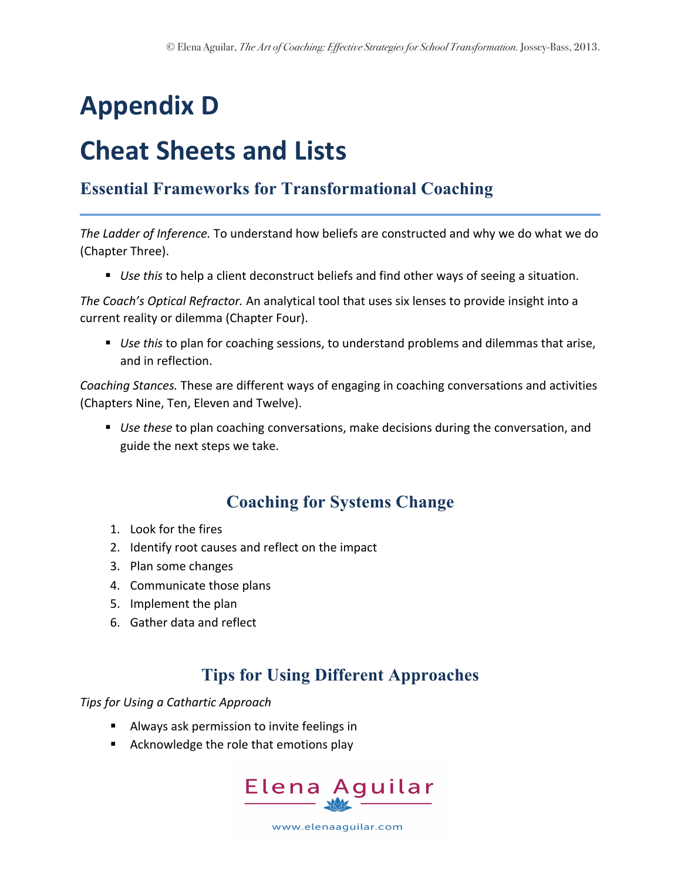# **Appendix D**

## **Cheat Sheets and Lists**

## **Essential Frameworks for Transformational Coaching**

The Ladder of Inference. To understand how beliefs are constructed and why we do what we do (Chapter Three).

■ *Use this* to help a client deconstruct beliefs and find other ways of seeing a situation.

*The Coach's Optical Refractor.* An analytical tool that uses six lenses to provide insight into a current reality or dilemma (Chapter Four).

■ *Use this* to plan for coaching sessions, to understand problems and dilemmas that arise, and in reflection.

*Coaching Stances.* These are different ways of engaging in coaching conversations and activities (Chapters Nine, Ten, Eleven and Twelve).

■ *Use these* to plan coaching conversations, make decisions during the conversation, and guide the next steps we take.

## **Coaching for Systems Change**

- 1. Look for the fires
- 2. Identify root causes and reflect on the impact
- 3. Plan some changes
- 4. Communicate those plans
- 5. Implement the plan
- 6. Gather data and reflect

## **Tips for Using Different Approaches**

**Tips for Using a Cathartic Approach** 

- **EXTE:** Always ask permission to invite feelings in
- Acknowledge the role that emotions play



www.elenaaguilar.com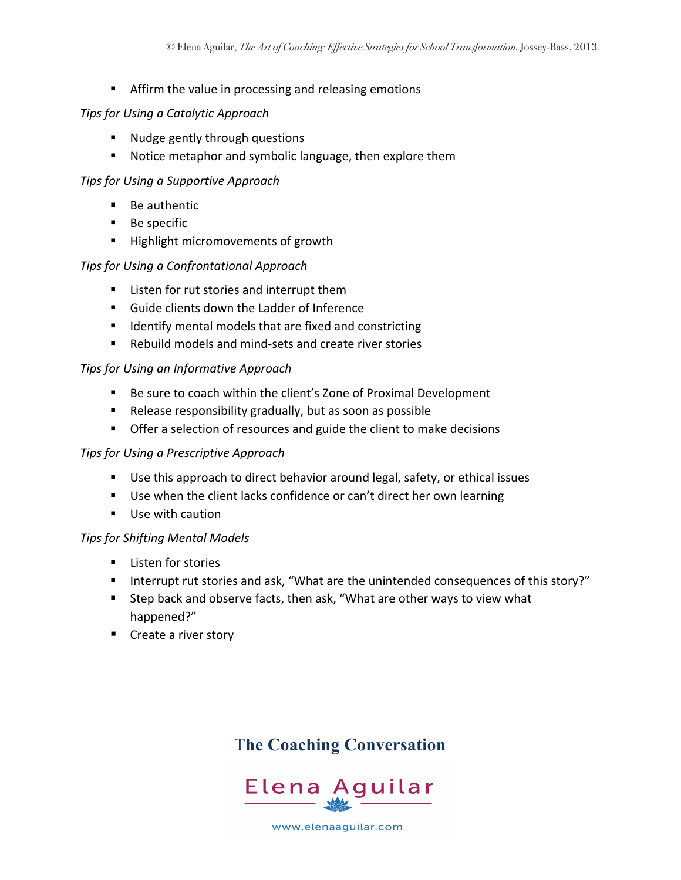**E** Affirm the value in processing and releasing emotions

#### *Tips for Using a Catalytic Approach*

- Nudge gently through questions
- Notice metaphor and symbolic language, then explore them

#### **Tips for Using a Supportive Approach**

- Be authentic
- $\blacksquare$  Be specific
- Highlight micromovements of growth

#### **Tips for Using a Confrontational Approach**

- Listen for rut stories and interrupt them
- Guide clients down the Ladder of Inference
- Identify mental models that are fixed and constricting
- Rebuild models and mind-sets and create river stories

#### *Tips for Using an Informative Approach*

- Be sure to coach within the client's Zone of Proximal Development
- Release responsibility gradually, but as soon as possible
- Offer a selection of resources and guide the client to make decisions

#### *Tips for Using a Prescriptive Approach*

- Use this approach to direct behavior around legal, safety, or ethical issues
- Use when the client lacks confidence or can't direct her own learning
- Use with caution

#### *Tips for Shifting Mental Models*

- Listen for stories
- Interrupt rut stories and ask, "What are the unintended consequences of this story?"
- Step back and observe facts, then ask, "What are other ways to view what happened?"
- Create a river story

## T**he Coaching Conversation**



www.elenaaguilar.com